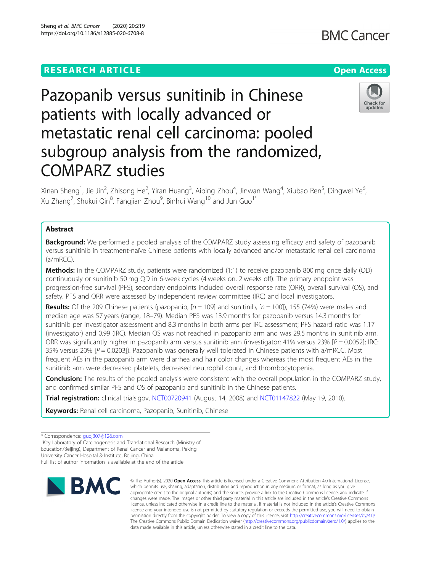## **RESEARCH ARTICLE Example 2014 12:30 The Contract of Contract ACCESS**

# Pazopanib versus sunitinib in Chinese patients with locally advanced or metastatic renal cell carcinoma: pooled subgroup analysis from the randomized, COMPARZ studies

Xinan Sheng<sup>1</sup>, Jie Jin<sup>2</sup>, Zhisong He<sup>2</sup>, Yiran Huang<sup>3</sup>, Aiping Zhou<sup>4</sup>, Jinwan Wang<sup>4</sup>, Xiubao Ren<sup>5</sup>, Dingwei Ye<sup>6</sup> , Xu Zhang<sup>7</sup>, Shukui Qin<sup>8</sup>, Fangjian Zhou<sup>9</sup>, Binhui Wang<sup>10</sup> and Jun Guo<sup>1\*</sup>

## Abstract

**Background:** We performed a pooled analysis of the COMPARZ study assessing efficacy and safety of pazopanib versus sunitinib in treatment-naïve Chinese patients with locally advanced and/or metastatic renal cell carcinoma (a/mRCC).

Methods: In the COMPARZ study, patients were randomized (1:1) to receive pazopanib 800 mg once daily (QD) continuously or sunitinib 50 mg QD in 6-week cycles (4 weeks on, 2 weeks off). The primary endpoint was progression-free survival (PFS); secondary endpoints included overall response rate (ORR), overall survival (OS), and safety. PFS and ORR were assessed by independent review committee (IRC) and local investigators.

**Results:** Of the 209 Chinese patients (pazopanib,  $[n = 109]$  and sunitinib,  $[n = 100]$ ), 155 (74%) were males and median age was 57 years (range, 18–79). Median PFS was 13.9 months for pazopanib versus 14.3 months for sunitinib per investigator assessment and 8.3 months in both arms per IRC assessment; PFS hazard ratio was 1.17 (investigator) and 0.99 (IRC). Median OS was not reached in pazopanib arm and was 29.5 months in sunitinib arm. ORR was significantly higher in pazopanib arm versus sunitinib arm (investigator: 41% versus 23%  $[P = 0.0052]$ ; IRC: 35% versus 20%  $[P = 0.0203]$ ). Pazopanib was generally well tolerated in Chinese patients with a/mRCC. Most frequent AEs in the pazopanib arm were diarrhea and hair color changes whereas the most frequent AEs in the sunitinib arm were decreased platelets, decreased neutrophil count, and thrombocytopenia.

Conclusion: The results of the pooled analysis were consistent with the overall population in the COMPARZ study, and confirmed similar PFS and OS of pazopanib and sunitinib in the Chinese patients.

Trial registration: clinical trials.gov, [NCT00720941](https://clinicaltrials.gov/ct2/show/NCT00720941) (August 14, 2008) and [NCT01147822](https://clinicaltrials.gov/ct2/show/NCT01147822) (May 19, 2010).

Keywords: Renal cell carcinoma, Pazopanib, Sunitinib, Chinese

\* Correspondence: [guoj307@126.com](mailto:guoj307@126.com) <sup>1</sup>

<sup>1</sup>Key Laboratory of Carcinogenesis and Translational Research (Ministry of Education/Beijing), Department of Renal Cancer and Melanoma, Peking University Cancer Hospital & Institute, Beijing, China Full list of author information is available at the end of the article

© The Author(s), 2020 **Open Access** This article is licensed under a Creative Commons Attribution 4.0 International License, which permits use, sharing, adaptation, distribution and reproduction in any medium or format, as long as you give appropriate credit to the original author(s) and the source, provide a link to the Creative Commons licence, and indicate if changes were made. The images or other third party material in this article are included in the article's Creative Commons licence, unless indicated otherwise in a credit line to the material. If material is not included in the article's Creative Commons licence and your intended use is not permitted by statutory regulation or exceeds the permitted use, you will need to obtain permission directly from the copyright holder. To view a copy of this licence, visit [http://creativecommons.org/licenses/by/4.0/.](http://creativecommons.org/licenses/by/4.0/) The Creative Commons Public Domain Dedication waiver [\(http://creativecommons.org/publicdomain/zero/1.0/](http://creativecommons.org/publicdomain/zero/1.0/)) applies to the data made available in this article, unless otherwise stated in a credit line to the data.





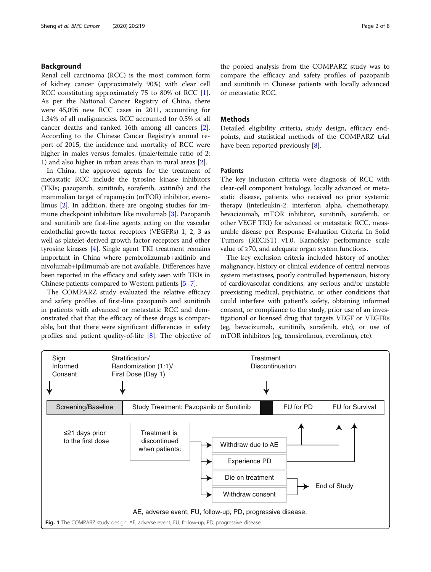## <span id="page-1-0"></span>Background

Renal cell carcinoma (RCC) is the most common form of kidney cancer (approximately 90%) with clear cell RCC constituting approximately 75 to 80% of RCC [\[1](#page-7-0)]. As per the National Cancer Registry of China, there were 45,096 new RCC cases in 2011, accounting for 1.34% of all malignancies. RCC accounted for 0.5% of all cancer deaths and ranked 16th among all cancers [\[2](#page-7-0)]. According to the Chinese Cancer Registry's annual report of 2015, the incidence and mortality of RCC were higher in males versus females, (male/female ratio of 2: 1) and also higher in urban areas than in rural areas [\[2](#page-7-0)].

In China, the approved agents for the treatment of metastatic RCC include the tyrosine kinase inhibitors (TKIs; pazopanib, sunitinib, sorafenib, axitinib) and the mammalian target of rapamycin (mTOR) inhibitor, everolimus [[2\]](#page-7-0). In addition, there are ongoing studies for immune checkpoint inhibitors like nivolumab [\[3](#page-7-0)]. Pazopanib and sunitinib are first-line agents acting on the vascular endothelial growth factor receptors (VEGFRs) 1, 2, 3 as well as platelet-derived growth factor receptors and other tyrosine kinases [\[4\]](#page-7-0). Single agent TKI treatment remains important in China where pembrolizumab+axitinib and nivolumab+ipilimumab are not available. Differences have been reported in the efficacy and safety seen with TKIs in Chinese patients compared to Western patients [\[5](#page-7-0)–[7\]](#page-7-0).

The COMPARZ study evaluated the relative efficacy and safety profiles of first-line pazopanib and sunitinib in patients with advanced or metastatic RCC and demonstrated that that the efficacy of these drugs is comparable, but that there were significant differences in safety profiles and patient quality-of-life [\[8](#page-7-0)]. The objective of

the pooled analysis from the COMPARZ study was to compare the efficacy and safety profiles of pazopanib and sunitinib in Chinese patients with locally advanced or metastatic RCC.

#### Methods

Detailed eligibility criteria, study design, efficacy endpoints, and statistical methods of the COMPARZ trial have been reported previously [[8\]](#page-7-0).

#### **Patients**

The key inclusion criteria were diagnosis of RCC with clear-cell component histology, locally advanced or metastatic disease, patients who received no prior systemic therapy (interleukin-2, interferon alpha, chemotherapy, bevacizumab, mTOR inhibitor, sunitinib, sorafenib, or other VEGF TKI) for advanced or metastatic RCC, measurable disease per Response Evaluation Criteria In Solid Tumors (RECIST) v1.0, Karnofsky performance scale value of  $\geq$ 70, and adequate organ system functions.

The key exclusion criteria included history of another malignancy, history or clinical evidence of central nervous system metastases, poorly controlled hypertension, history of cardiovascular conditions, any serious and/or unstable preexisting medical, psychiatric, or other conditions that could interfere with patient's safety, obtaining informed consent, or compliance to the study, prior use of an investigational or licensed drug that targets VEGF or VEGFRs (eg, bevacizumab, sunitinib, sorafenib, etc), or use of mTOR inhibitors (eg, temsirolimus, everolimus, etc).

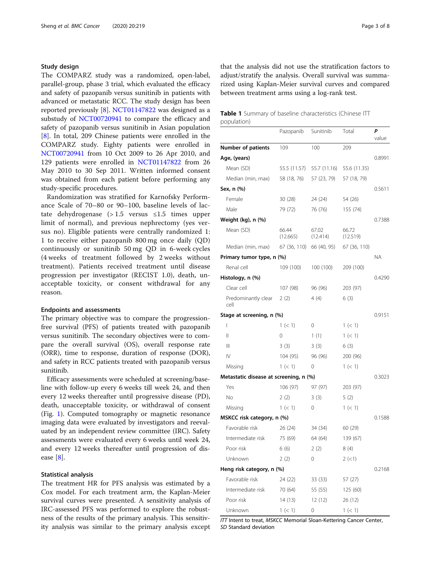## <span id="page-2-0"></span>Study design

The COMPARZ study was a randomized, open-label, parallel-group, phase 3 trial, which evaluated the efficacy and safety of pazopanib versus sunitinib in patients with advanced or metastatic RCC. The study design has been reported previously [\[8](#page-7-0)]. [NCT01147822](https://clinicaltrials.gov/ct2/show/NCT01147822) was designed as a substudy of [NCT00720941](https://clinicaltrials.gov/ct2/show/NCT00720941) to compare the efficacy and safety of pazopanib versus sunitinib in Asian population [[8\]](#page-7-0). In total, 209 Chinese patients were enrolled in the COMPARZ study. Eighty patients were enrolled in [NCT00720941](https://clinicaltrials.gov/ct2/show/NCT00720941) from 10 Oct 2009 to 26 Apr 2010, and 129 patients were enrolled in [NCT01147822](https://clinicaltrials.gov/ct2/show/NCT01147822) from 26 May 2010 to 30 Sep 2011. Written informed consent was obtained from each patient before performing any study-specific procedures.

Randomization was stratified for Karnofsky Performance Scale of 70–80 or 90–100, baseline levels of lactate dehydrogenase  $(>1.5$  versus  $\leq 1.5$  times upper limit of normal), and previous nephrectomy (yes versus no). Eligible patients were centrally randomized 1: 1 to receive either pazopanib 800 mg once daily (QD) continuously or sunitinib 50 mg QD in 6-week cycles (4 weeks of treatment followed by 2 weeks without treatment). Patients received treatment until disease progression per investigator (RECIST 1.0), death, unacceptable toxicity, or consent withdrawal for any reason.

#### Endpoints and assessments

The primary objective was to compare the progressionfree survival (PFS) of patients treated with pazopanib versus sunitinib. The secondary objectives were to compare the overall survival (OS), overall response rate (ORR), time to response, duration of response (DOR), and safety in RCC patients treated with pazopanib versus sunitinib.

Efficacy assessments were scheduled at screening/baseline with follow-up every 6 weeks till week 24, and then every 12 weeks thereafter until progressive disease (PD), death, unacceptable toxicity, or withdrawal of consent (Fig. [1\)](#page-1-0). Computed tomography or magnetic resonance imaging data were evaluated by investigators and reevaluated by an independent review committee (IRC). Safety assessments were evaluated every 6 weeks until week 24, and every 12 weeks thereafter until progression of disease [[8\]](#page-7-0).

#### Statistical analysis

The treatment HR for PFS analysis was estimated by a Cox model. For each treatment arm, the Kaplan-Meier survival curves were presented. A sensitivity analysis of IRC-assessed PFS was performed to explore the robustness of the results of the primary analysis. This sensitivity analysis was similar to the primary analysis except that the analysis did not use the stratification factors to adjust/stratify the analysis. Overall survival was summarized using Kaplan-Meier survival curves and compared between treatment arms using a log-rank test.

|             |  | Table 1 Summary of baseline characteristics (Chinese ITT |  |
|-------------|--|----------------------------------------------------------|--|
| population) |  |                                                          |  |

|                                        | Pazopanib         | Sunitinib         | Total             | Ρ<br>value |
|----------------------------------------|-------------------|-------------------|-------------------|------------|
| <b>Number of patients</b>              | 109               | 100               | 209               |            |
| Age, (years)                           |                   |                   |                   | 0.8991     |
| Mean (SD)                              | 55.5 (11.57)      | 55.7 (11.16)      | 55.6 (11.35)      |            |
| Median (min, max)                      | 58 (18, 76)       | 57 (23, 79)       | 57 (18, 79)       |            |
| Sex, n (%)                             |                   |                   |                   | 0.5611     |
| Female                                 | 30(28)            | 24 (24)           | 54 (26)           |            |
| Male                                   | 79 (72)           | 76 (76)           | 155 (74)          |            |
| Weight (kg), n (%)                     |                   |                   |                   | 0.7388     |
| Mean (SD)                              | 66.44<br>(12.665) | 67.02<br>(12.414) | 66.72<br>(12.519) |            |
| Median (min, max)                      | 67 (36, 110)      | 66 (40, 95)       | 67 (36, 110)      |            |
| Primary tumor type, n (%)              |                   |                   |                   | <b>NA</b>  |
| Renal cell                             | 109 (100)         | 100 (100)         | 209 (100)         |            |
| Histology, n (%)                       |                   |                   |                   | 0.4290     |
| Clear cell                             | 107 (98)          | 96 (96)           | 203 (97)          |            |
| Predominantly clear<br>cell            | 2(2)              | 4(4)              | 6(3)              |            |
| Stage at screening, n (%)              |                   |                   |                   | 0.9151     |
| T                                      | 1 (< 1)           | 0                 | 1 (< 1)           |            |
| Ш                                      | 0                 | 1(1)              | 1 (< 1)           |            |
| Ш                                      | 3(3)              | 3(3)              | 6(3)              |            |
| IV                                     | 104 (95)          | 96 (96)           | 200 (96)          |            |
| Missing                                | 1 (< 1)           | 0                 | 1 (< 1)           |            |
| Metastatic disease at screening, n (%) |                   |                   |                   | 0.3023     |
| Yes                                    | 106 (97)          | 97 (97)           | 203 (97)          |            |
| No                                     | 2(2)              | 3(3)              | 5(2)              |            |
| Missing                                | 1 (< 1)           | 0                 | 1 (< 1)           |            |
| MSKCC risk category, n (%)             |                   |                   |                   | 0.1588     |
| Favorable risk                         | 26 (24)           | 34 (34)           | 60(29)            |            |
| Intermediate risk                      | 75 (69)           | 64 (64)           | 139 (67)          |            |
| Poor risk                              | 6 (6)             | 2(2)              | 8(4)              |            |
| Unknown                                | 2(2)              | 0                 | $2$ (<1)          |            |
| Heng risk category, n (%)              |                   |                   |                   | 0.2168     |
| Favorable risk                         | 24 (22)           | 33 (33)           | 57(27)            |            |
| Intermediate risk                      | 70 (64)           | 55 (55)           | 125 (60)          |            |
| Poor risk                              | 14 (13)           | 12 (12)           | 26 (12)           |            |
| Unknown                                | 1 (< 1)           | 0                 | 1 (< 1)           |            |

ITT Intent to treat, MSKCC Memorial Sloan-Kettering Cancer Center, SD Standard deviation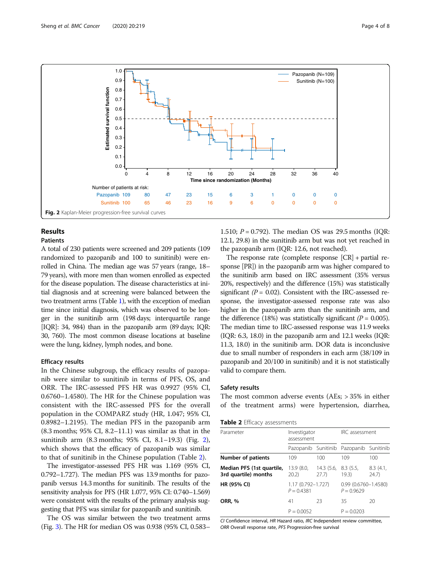

## Results

#### Patients

A total of 230 patients were screened and 209 patients (109 randomized to pazopanib and 100 to sunitinib) were enrolled in China. The median age was 57 years (range, 18– 79 years), with more men than women enrolled as expected for the disease population. The disease characteristics at initial diagnosis and at screening were balanced between the two treatment arms (Table [1\)](#page-2-0), with the exception of median time since initial diagnosis, which was observed to be longer in the sunitinib arm (198 days; interquartile range [IQR]: 34, 984) than in the pazopanib arm (89 days; IQR: 30, 760). The most common disease locations at baseline were the lung, kidney, lymph nodes, and bone.

#### Efficacy results

In the Chinese subgroup, the efficacy results of pazopanib were similar to sunitinib in terms of PFS, OS, and ORR. The IRC-assessed PFS HR was 0.9927 (95% CI, 0.6760–1.4580). The HR for the Chinese population was consistent with the IRC-assessed PFS for the overall population in the COMPARZ study (HR, 1.047; 95% CI, 0.8982–1.2195). The median PFS in the pazopanib arm (8.3 months; 95% CI, 8.2–11.1) was similar as that in the sunitinib arm (8.3 months; 95% CI, 8.1–19.3) (Fig. 2), which shows that the efficacy of pazopanib was similar to that of sunitinib in the Chinese population (Table 2).

The investigator-assessed PFS HR was 1.169 (95% CI, 0.792–1.727). The median PFS was 13.9 months for pazopanib versus 14.3 months for sunitinib. The results of the sensitivity analysis for PFS (HR 1.077, 95% CI: 0.740–1.569) were consistent with the results of the primary analysis suggesting that PFS was similar for pazopanib and sunitinib.

The OS was similar between the two treatment arms (Fig. [3](#page-4-0)). The HR for median OS was 0.938 (95% CI, 0.583–

1.510;  $P = 0.792$ ). The median OS was 29.5 months (IQR: 12.1, 29.8) in the sunitinib arm but was not yet reached in the pazopanib arm (IQR: 12.6, not reached).

The response rate (complete response [CR] + partial response [PR]) in the pazopanib arm was higher compared to the sunitinib arm based on IRC assessment (35% versus 20%, respectively) and the difference (15%) was statistically significant ( $P = 0.02$ ). Consistent with the IRC-assessed response, the investigator-assessed response rate was also higher in the pazopanib arm than the sunitinib arm, and the difference (18%) was statistically significant ( $P = 0.005$ ). The median time to IRC-assessed response was 11.9 weeks (IQR: 6.3, 18.0) in the pazopanib arm and 12.1 weeks (IQR: 11.3, 18.0) in the sunitinib arm. DOR data is inconclusive due to small number of responders in each arm (38/109 in pazopanib and 20/100 in sunitinib) and it is not statistically valid to compare them.

#### Safety results

The most common adverse events (AEs; > 35% in either of the treatment arms) were hypertension, diarrhea,

| Table 2 Efficacy assessments |  |
|------------------------------|--|
|------------------------------|--|

| Parameter                                         | Investigator<br>assessment            |                             | IRC assessment                             |                   |  |
|---------------------------------------------------|---------------------------------------|-----------------------------|--------------------------------------------|-------------------|--|
|                                                   |                                       |                             | Pazopanib Sunitinib Pazopanib Sunitinib    |                   |  |
| <b>Number of patients</b>                         | 109                                   | 100                         | 109                                        | 100               |  |
| Median PFS (1st quartile,<br>3rd quartile) months | 13.9(8.0.<br>20.2)                    | 14.3(5.6, 8.3(5.5,<br>27.7) | 19.3)                                      | 8.3(4.1)<br>24.7) |  |
| HR (95% CI)                                       | $1.17(0.792 - 1.727)$<br>$P = 0.4381$ |                             | $0.99$ $(0.6760 - 1.4580)$<br>$P = 0.9629$ |                   |  |
| ORR, %                                            | 41                                    | 23                          | 35                                         | 20                |  |
|                                                   | $P = 0.0052$                          |                             | $P = 0.0203$                               |                   |  |

CI Confidence interval, HR Hazard ratio, IRC Independent review committee, ORR Overall response rate, PFS Progression-free survival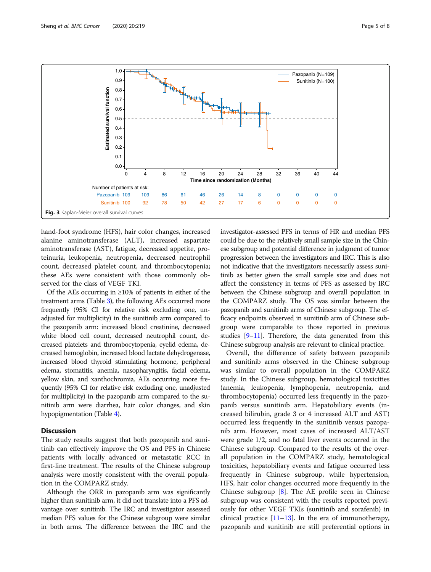<span id="page-4-0"></span>

hand-foot syndrome (HFS), hair color changes, increased alanine aminotransferase (ALT), increased aspartate aminotransferase (AST), fatigue, decreased appetite, proteinuria, leukopenia, neutropenia, decreased neutrophil count, decreased platelet count, and thrombocytopenia; these AEs were consistent with those commonly observed for the class of VEGF TKI.

Of the AEs occurring in  $\geq$ 10% of patients in either of the treatment arms (Table [3](#page-5-0)), the following AEs occurred more frequently (95% CI for relative risk excluding one, unadjusted for multiplicity) in the sunitinib arm compared to the pazopanib arm: increased blood creatinine, decreased white blood cell count, decreased neutrophil count, decreased platelets and thrombocytopenia, eyelid edema, decreased hemoglobin, increased blood lactate dehydrogenase, increased blood thyroid stimulating hormone, peripheral edema, stomatitis, anemia, nasopharyngitis, facial edema, yellow skin, and xanthochromia. AEs occurring more frequently (95% CI for relative risk excluding one, unadjusted for multiplicity) in the pazopanib arm compared to the sunitinib arm were diarrhea, hair color changes, and skin hypopigmentation (Table [4](#page-6-0)).

## **Discussion**

The study results suggest that both pazopanib and sunitinib can effectively improve the OS and PFS in Chinese patients with locally advanced or metastatic RCC in first-line treatment. The results of the Chinese subgroup analysis were mostly consistent with the overall population in the COMPARZ study.

Although the ORR in pazopanib arm was significantly higher than sunitinib arm, it did not translate into a PFS advantage over sunitinib. The IRC and investigator assessed median PFS values for the Chinese subgroup were similar in both arms. The difference between the IRC and the investigator-assessed PFS in terms of HR and median PFS could be due to the relatively small sample size in the Chinese subgroup and potential difference in judgment of tumor progression between the investigators and IRC. This is also not indicative that the investigators necessarily assess sunitinib as better given the small sample size and does not affect the consistency in terms of PFS as assessed by IRC between the Chinese subgroup and overall population in the COMPARZ study. The OS was similar between the pazopanib and sunitinib arms of Chinese subgroup. The efficacy endpoints observed in sunitinib arm of Chinese subgroup were comparable to those reported in previous studies [\[9](#page-7-0)–[11\]](#page-7-0). Therefore, the data generated from this Chinese subgroup analysis are relevant to clinical practice.

Overall, the difference of safety between pazopanib and sunitinib arms observed in the Chinese subgroup was similar to overall population in the COMPARZ study. In the Chinese subgroup, hematological toxicities (anemia, leukopenia, lymphopenia, neutropenia, and thrombocytopenia) occurred less frequently in the pazopanib versus sunitinib arm. Hepatobiliary events (increased bilirubin, grade 3 or 4 increased ALT and AST) occurred less frequently in the sunitinib versus pazopanib arm. However, most cases of increased ALT/AST were grade 1/2, and no fatal liver events occurred in the Chinese subgroup. Compared to the results of the overall population in the COMPARZ study, hematological toxicities, hepatobiliary events and fatigue occurred less frequently in Chinese subgroup, while hypertension, HFS, hair color changes occurred more frequently in the Chinese subgroup [[8\]](#page-7-0). The AE profile seen in Chinese subgroup was consistent with the results reported previously for other VEGF TKIs (sunitinib and sorafenib) in clinical practice  $[11-13]$  $[11-13]$  $[11-13]$ . In the era of immunotherapy, pazopanib and sunitinib are still preferential options in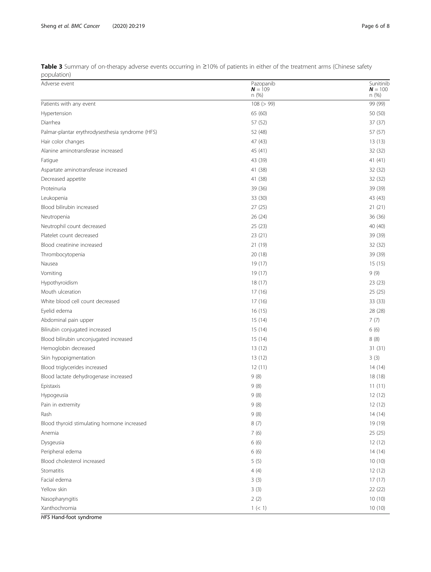<span id="page-5-0"></span>Table 3 Summary of on-therapy adverse events occurring in ≥10% of patients in either of the treatment arms (Chinese safety population)

| Adverse event                                    | Pazopanib               | Sunitinib          |  |
|--------------------------------------------------|-------------------------|--------------------|--|
|                                                  | $N = 109$<br>n (%)      | $N = 100$<br>n (%) |  |
| Patients with any event                          | $\overline{108}$ (> 99) | 99 (99)            |  |
| Hypertension                                     | 65 (60)                 | 50 (50)            |  |
| Diarrhea                                         | 57 (52)                 | 37 (37)            |  |
| Palmar-plantar erythrodysesthesia syndrome (HFS) | 52 (48)                 | 57 (57)            |  |
| Hair color changes                               | 47 (43)                 | 13(13)             |  |
| Alanine aminotransferase increased               | 45 (41)                 | 32 (32)            |  |
| Fatigue                                          | 43 (39)                 | 41 (41)            |  |
| Aspartate aminotransferase increased             | 41 (38)                 | 32 (32)            |  |
| Decreased appetite                               | 41 (38)                 | 32 (32)            |  |
| Proteinuria                                      | 39 (36)                 | 39 (39)            |  |
| Leukopenia                                       | 33 (30)                 | 43 (43)            |  |
| Blood bilirubin increased                        | 27 (25)                 | 21(21)             |  |
| Neutropenia                                      | 26(24)                  | 36 (36)            |  |
| Neutrophil count decreased                       | 25(23)                  | 40 (40)            |  |
| Platelet count decreased                         | 23(21)                  | 39 (39)            |  |
| Blood creatinine increased                       | 21 (19)                 | 32 (32)            |  |
| Thrombocytopenia                                 | 20 (18)                 | 39 (39)            |  |
| Nausea                                           | 19 (17)                 | 15(15)             |  |
| Vomiting                                         | 19 (17)                 | 9(9)               |  |
| Hypothyroidism                                   | 18(17)                  | 23(23)             |  |
| Mouth ulceration                                 | 17(16)                  | 25(25)             |  |
| White blood cell count decreased                 | 17 (16)                 | 33 (33)            |  |
| Eyelid edema                                     | 16(15)                  | 28 (28)            |  |
| Abdominal pain upper                             | 15(14)                  | 7(7)               |  |
| Bilirubin conjugated increased                   | 15(14)                  | 6(6)               |  |
| Blood bilirubin unconjugated increased           | 15(14)                  | 8(8)               |  |
| Hemoglobin decreased                             | 13(12)                  | 31(31)             |  |
| Skin hypopigmentation                            | 13(12)                  | 3(3)               |  |
| Blood triglycerides increased                    | 12(11)                  | 14(14)             |  |
| Blood lactate dehydrogenase increased            | 9(8)                    | 18 (18)            |  |
| Epistaxis                                        | 9(8)                    | 11(11)             |  |
| Hypogeusia                                       | 9(8)                    | 12(12)             |  |
| Pain in extremity                                | 9(8)                    | 12 (12)            |  |
| Rash                                             | 9(8)                    | 14(14)             |  |
| Blood thyroid stimulating hormone increased      | 8(7)                    | 19 (19)            |  |
| Anemia                                           | 7(6)                    | 25 (25)            |  |
| Dysgeusia                                        | 6(6)                    | 12(12)             |  |
| Peripheral edema                                 | 6(6)                    | 14(14)             |  |
| Blood cholesterol increased                      | 5(5)                    | 10(10)             |  |
| Stomatitis                                       | 4(4)                    | 12 (12)            |  |
| Facial edema                                     | 3(3)                    | 17 (17)            |  |
| Yellow skin                                      | 3(3)                    | 22 (22)            |  |
| Nasopharyngitis                                  | 2(2)                    | 10(10)             |  |
| Xanthochromia                                    | 1 (< 1)                 | 10(10)             |  |

HFS Hand-foot syndrome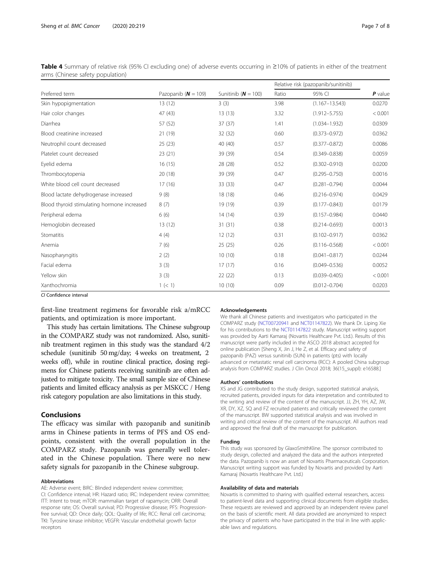<span id="page-6-0"></span>

| Table 4 Summary of relative risk (95% CI excluding one) of adverse events occurring in ≥10% of patients in either of the treatment |  |  |
|------------------------------------------------------------------------------------------------------------------------------------|--|--|
| arms (Chinese safety population)                                                                                                   |  |  |

|                                             | Pazopanib ( $N = 109$ ) | Sunitinib ( $N = 100$ ) | Relative risk (pazopanib/sunitinib) |                    |           |
|---------------------------------------------|-------------------------|-------------------------|-------------------------------------|--------------------|-----------|
| Preferred term                              |                         |                         | Ratio                               | 95% CI             | $P$ value |
| Skin hypopigmentation                       | 13 (12)                 | 3(3)                    | 3.98                                | $(1.167 - 13.543)$ | 0.0270    |
| Hair color changes                          | 47 (43)                 | 13(13)                  | 3.32                                | $(1.912 - 5.755)$  | < 0.001   |
| Diarrhea                                    | 57 (52)                 | 37(37)                  | 1.41                                | $(1.034 - 1.932)$  | 0.0309    |
| Blood creatinine increased                  | 21 (19)                 | 32 (32)                 | 0.60                                | $(0.373 - 0.972)$  | 0.0362    |
| Neutrophil count decreased                  | 25(23)                  | 40 (40)                 | 0.57                                | $(0.377 - 0.872)$  | 0.0086    |
| Platelet count decreased                    | 23(21)                  | 39 (39)                 | 0.54                                | $(0.349 - 0.838)$  | 0.0059    |
| Eyelid edema                                | 16(15)                  | 28 (28)                 | 0.52                                | $(0.302 - 0.910)$  | 0.0200    |
| Thrombocytopenia                            | 20 (18)                 | 39 (39)                 | 0.47                                | $(0.295 - 0.750)$  | 0.0016    |
| White blood cell count decreased            | 17(16)                  | 33 (33)                 | 0.47                                | $(0.281 - 0.794)$  | 0.0044    |
| Blood lactate dehydrogenase increased       | 9(8)                    | 18 (18)                 | 0.46                                | $(0.216 - 0.974)$  | 0.0429    |
| Blood thyroid stimulating hormone increased | 8(7)                    | 19 (19)                 | 0.39                                | $(0.177 - 0.843)$  | 0.0179    |
| Peripheral edema                            | 6(6)                    | 14(14)                  | 0.39                                | $(0.157 - 0.984)$  | 0.0440    |
| Hemoglobin decreased                        | 13(12)                  | 31(31)                  | 0.38                                | $(0.214 - 0.693)$  | 0.0013    |
| Stomatitis                                  | 4(4)                    | 12(12)                  | 0.31                                | $(0.102 - 0.917)$  | 0.0362    |
| Anemia                                      | 7(6)                    | 25(25)                  | 0.26                                | $(0.116 - 0.568)$  | < 0.001   |
| Nasopharyngitis                             | 2(2)                    | 10(10)                  | 0.18                                | $(0.041 - 0.817)$  | 0.0244    |
| Facial edema                                | 3(3)                    | 17(17)                  | 0.16                                | $(0.049 - 0.536)$  | 0.0052    |
| Yellow skin                                 | 3(3)                    | 22(22)                  | 0.13                                | $(0.039 - 0.405)$  | < 0.001   |
| Xanthochromia                               | 1 (< 1)                 | 10(10)                  | 0.09                                | $(0.012 - 0.704)$  | 0.0203    |

CI Confidence interval

first-line treatment regimens for favorable risk a/mRCC patients, and optimization is more important.

This study has certain limitations. The Chinese subgroup in the COMPARZ study was not randomized. Also, sunitinib treatment regimen in this study was the standard 4/2 schedule (sunitinib 50 mg/day; 4 weeks on treatment, 2 weeks off), while in routine clinical practice, dosing regimens for Chinese patients receiving sunitinib are often adjusted to mitigate toxicity. The small sample size of Chinese patients and limited efficacy analysis as per MSKCC / Heng risk category population are also limitations in this study.

## Conclusions

The efficacy was similar with pazopanib and sunitinib arms in Chinese patients in terms of PFS and OS endpoints, consistent with the overall population in the COMPARZ study. Pazopanib was generally well tolerated in the Chinese population. There were no new safety signals for pazopanib in the Chinese subgroup.

#### Abbreviations

AE: Adverse event; BIRC: Blinded independent review committee; CI: Confidence interval; HR: Hazard ratio; IRC: Independent review committee; ITT: Intent to treat; mTOR: mammalian target of rapamycin; ORR: Overall response rate; OS: Overall survival; PD: Progressive disease; PFS: Progressionfree survival; QD: Once daily; QOL: Quality of life; RCC: Renal cell carcinoma; TKI: Tyrosine kinase inhibitor; VEGFR: Vascular endothelial growth factor receptors

#### Acknowledgements

We thank all Chinese patients and investigators who participated in the COMPARZ study [\(NCT00720941](https://clinicaltrials.gov/ct2/show/NCT00720941) and [NCT01147822\)](https://clinicaltrials.gov/ct2/show/NCT01147822). We thank Dr. Liping Xie for his contributions to the [NCT01147822](https://clinicaltrials.gov/ct2/show/NCT01147822) study. Manuscript writing support was provided by Aarti Kamaraj (Novartis Healthcare Pvt. Ltd.). Results of this manuscript were partly included in the ASCO 2018 abstract accepted for online publication [Sheng X, Jin J, He Z, et al. Efficacy and safety of pazopanib (PAZ) versus sunitinib (SUN) in patients (pts) with locally advanced or metastatic renal cell carcinoma (RCC): A pooled China subgroup analysis from COMPARZ studies. J Clin Oncol 2018; 36(15 suppl): e16588.]

#### Authors' contributions

XS and JG contributed to the study design, supported statistical analysis, recruited patients, provided inputs for data interpretation and contributed to the writing and review of the content of the manuscript. JJ, ZH, YH, AZ, JW, XR, DY, XZ, SQ and FZ recruited patients and critically reviewed the content of the manuscript. BW supported statistical analysis and was involved in writing and critical review of the content of the manuscript. All authors read and approved the final draft of the manuscript for publication.

#### Funding

This study was sponsored by GlaxoSmithKline. The sponsor contributed to study design, collected and analyzed the data and the authors interpreted the data. Pazopanib is now an asset of Novartis Pharmaceuticals Corporation. Manuscript writing support was funded by Novartis and provided by Aarti Kamaraj (Novartis Healthcare Pvt. Ltd.)

#### Availability of data and materials

Novartis is committed to sharing with qualified external researchers, access to patient-level data and supporting clinical documents from eligible studies. These requests are reviewed and approved by an independent review panel on the basis of scientific merit. All data provided are anonymized to respect the privacy of patients who have participated in the trial in line with applicable laws and regulations.